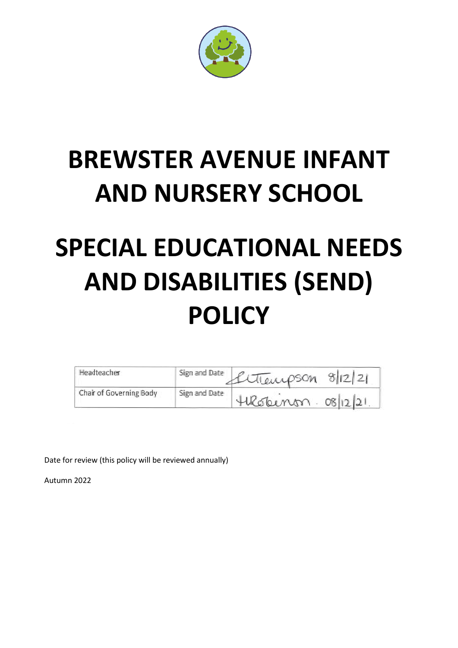

## **BREWSTER AVENUE INFANT AND NURSERY SCHOOL**

# **SPECIAL EDUCATIONAL NEEDS AND DISABILITIES (SEND) POLICY**

| Headteacher             | Sign and Date | Litranpson 8/12/21      |
|-------------------------|---------------|-------------------------|
| Chair of Governing Body | Sign and Date | $HlCbinm \cdot o8 2 2 $ |

Date for review (this policy will be reviewed annually)

Autumn 2022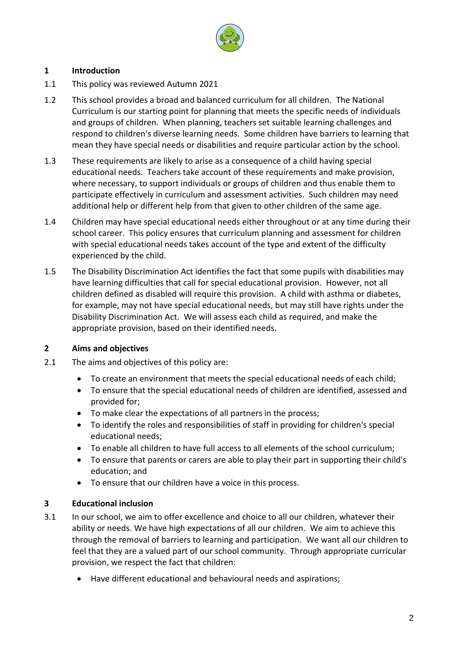

## **1 Introduction**

- 1.1 This policy was reviewed Autumn 2021
- 1.2 This school provides a broad and balanced curriculum for all children. The National Curriculum is our starting point for planning that meets the specific needs of individuals and groups of children. When planning, teachers set suitable learning challenges and respond to children's diverse learning needs. Some children have barriers to learning that mean they have special needs or disabilities and require particular action by the school.
- 1.3 These requirements are likely to arise as a consequence of a child having special educational needs. Teachers take account of these requirements and make provision, where necessary, to support individuals or groups of children and thus enable them to participate effectively in curriculum and assessment activities. Such children may need additional help or different help from that given to other children of the same age.
- 1.4 Children may have special educational needs either throughout or at any time during their school career. This policy ensures that curriculum planning and assessment for children with special educational needs takes account of the type and extent of the difficulty experienced by the child.
- 1.5 The Disability Discrimination Act identifies the fact that some pupils with disabilities may have learning difficulties that call for special educational provision. However, not all children defined as disabled will require this provision. A child with asthma or diabetes, for example, may not have special educational needs, but may still have rights under the Disability Discrimination Act. We will assess each child as required, and make the appropriate provision, based on their identified needs.

## **2 Aims and objectives**

- 2.1 The aims and objectives of this policy are:
	- To create an environment that meets the special educational needs of each child;
	- To ensure that the special educational needs of children are identified, assessed and provided for;
	- To make clear the expectations of all partners in the process;
	- To identify the roles and responsibilities of staff in providing for children's special educational needs;
	- To enable all children to have full access to all elements of the school curriculum;
	- To ensure that parents or carers are able to play their part in supporting their child's education; and
	- To ensure that our children have a voice in this process.

## **3 Educational inclusion**

- 3.1 In our school, we aim to offer excellence and choice to all our children, whatever their ability or needs. We have high expectations of all our children. We aim to achieve this through the removal of barriers to learning and participation. We want all our children to feel that they are a valued part of our school community. Through appropriate curricular provision, we respect the fact that children:
	- Have different educational and behavioural needs and aspirations;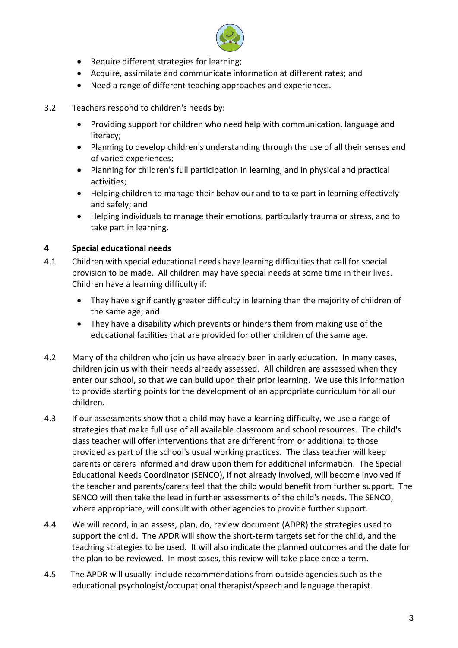

- Require different strategies for learning;
- Acquire, assimilate and communicate information at different rates; and
- Need a range of different teaching approaches and experiences.
- 3.2 Teachers respond to children's needs by:
	- Providing support for children who need help with communication, language and literacy;
	- Planning to develop children's understanding through the use of all their senses and of varied experiences;
	- Planning for children's full participation in learning, and in physical and practical activities;
	- Helping children to manage their behaviour and to take part in learning effectively and safely; and
	- Helping individuals to manage their emotions, particularly trauma or stress, and to take part in learning.

## **4 Special educational needs**

- 4.1 Children with special educational needs have learning difficulties that call for special provision to be made. All children may have special needs at some time in their lives. Children have a learning difficulty if:
	- They have significantly greater difficulty in learning than the majority of children of the same age; and
	- They have a disability which prevents or hinders them from making use of the educational facilities that are provided for other children of the same age.
- 4.2 Many of the children who join us have already been in early education. In many cases, children join us with their needs already assessed. All children are assessed when they enter our school, so that we can build upon their prior learning. We use this information to provide starting points for the development of an appropriate curriculum for all our children.
- 4.3 If our assessments show that a child may have a learning difficulty, we use a range of strategies that make full use of all available classroom and school resources. The child's class teacher will offer interventions that are different from or additional to those provided as part of the school's usual working practices. The class teacher will keep parents or carers informed and draw upon them for additional information. The Special Educational Needs Coordinator (SENCO), if not already involved, will become involved if the teacher and parents/carers feel that the child would benefit from further support. The SENCO will then take the lead in further assessments of the child's needs. The SENCO, where appropriate, will consult with other agencies to provide further support.
- 4.4 We will record, in an assess, plan, do, review document (ADPR) the strategies used to support the child. The APDR will show the short-term targets set for the child, and the teaching strategies to be used. It will also indicate the planned outcomes and the date for the plan to be reviewed. In most cases, this review will take place once a term.
- 4.5 The APDR will usually include recommendations from outside agencies such as the educational psychologist/occupational therapist/speech and language therapist.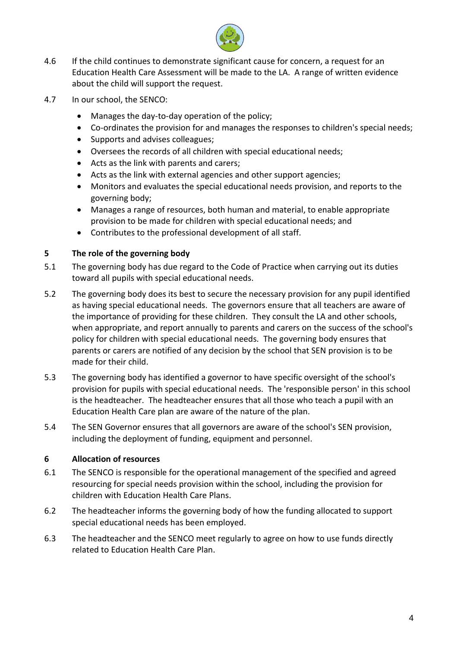

- 4.6 If the child continues to demonstrate significant cause for concern, a request for an Education Health Care Assessment will be made to the LA. A range of written evidence about the child will support the request.
- 4.7 In our school, the SENCO:
	- Manages the day-to-day operation of the policy;
	- Co-ordinates the provision for and manages the responses to children's special needs;
	- Supports and advises colleagues;
	- Oversees the records of all children with special educational needs;
	- Acts as the link with parents and carers;
	- Acts as the link with external agencies and other support agencies;
	- Monitors and evaluates the special educational needs provision, and reports to the governing body;
	- Manages a range of resources, both human and material, to enable appropriate provision to be made for children with special educational needs; and
	- Contributes to the professional development of all staff.

#### **5 The role of the governing body**

- 5.1 The governing body has due regard to the Code of Practice when carrying out its duties toward all pupils with special educational needs.
- 5.2 The governing body does its best to secure the necessary provision for any pupil identified as having special educational needs. The governors ensure that all teachers are aware of the importance of providing for these children. They consult the LA and other schools, when appropriate, and report annually to parents and carers on the success of the school's policy for children with special educational needs. The governing body ensures that parents or carers are notified of any decision by the school that SEN provision is to be made for their child.
- 5.3 The governing body has identified a governor to have specific oversight of the school's provision for pupils with special educational needs. The 'responsible person' in this school is the headteacher. The headteacher ensures that all those who teach a pupil with an Education Health Care plan are aware of the nature of the plan.
- 5.4 The SEN Governor ensures that all governors are aware of the school's SEN provision, including the deployment of funding, equipment and personnel.

#### **6 Allocation of resources**

- 6.1 The SENCO is responsible for the operational management of the specified and agreed resourcing for special needs provision within the school, including the provision for children with Education Health Care Plans.
- 6.2 The headteacher informs the governing body of how the funding allocated to support special educational needs has been employed.
- 6.3 The headteacher and the SENCO meet regularly to agree on how to use funds directly related to Education Health Care Plan.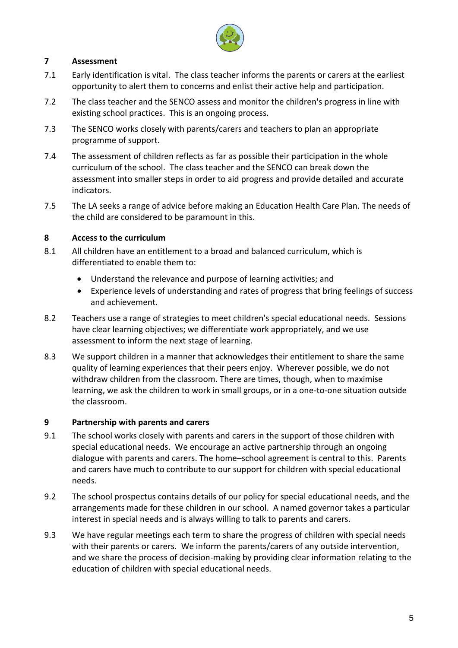

## **7 Assessment**

- 7.1 Early identification is vital. The class teacher informs the parents or carers at the earliest opportunity to alert them to concerns and enlist their active help and participation.
- 7.2 The class teacher and the SENCO assess and monitor the children's progress in line with existing school practices. This is an ongoing process.
- 7.3 The SENCO works closely with parents/carers and teachers to plan an appropriate programme of support.
- 7.4 The assessment of children reflects as far as possible their participation in the whole curriculum of the school. The class teacher and the SENCO can break down the assessment into smaller steps in order to aid progress and provide detailed and accurate indicators.
- 7.5 The LA seeks a range of advice before making an Education Health Care Plan. The needs of the child are considered to be paramount in this.

## **8 Access to the curriculum**

- 8.1 All children have an entitlement to a broad and balanced curriculum, which is differentiated to enable them to:
	- Understand the relevance and purpose of learning activities; and
	- Experience levels of understanding and rates of progress that bring feelings of success and achievement.
- 8.2 Teachers use a range of strategies to meet children's special educational needs. Sessions have clear learning objectives; we differentiate work appropriately, and we use assessment to inform the next stage of learning.
- 8.3 We support children in a manner that acknowledges their entitlement to share the same quality of learning experiences that their peers enjoy. Wherever possible, we do not withdraw children from the classroom. There are times, though, when to maximise learning, we ask the children to work in small groups, or in a one-to-one situation outside the classroom.

## **9 Partnership with parents and carers**

- 9.1 The school works closely with parents and carers in the support of those children with special educational needs. We encourage an active partnership through an ongoing dialogue with parents and carers. The home–school agreement is central to this. Parents and carers have much to contribute to our support for children with special educational needs.
- 9.2 The school prospectus contains details of our policy for special educational needs, and the arrangements made for these children in our school. A named governor takes a particular interest in special needs and is always willing to talk to parents and carers.
- 9.3 We have regular meetings each term to share the progress of children with special needs with their parents or carers. We inform the parents/carers of any outside intervention, and we share the process of decision-making by providing clear information relating to the education of children with special educational needs.